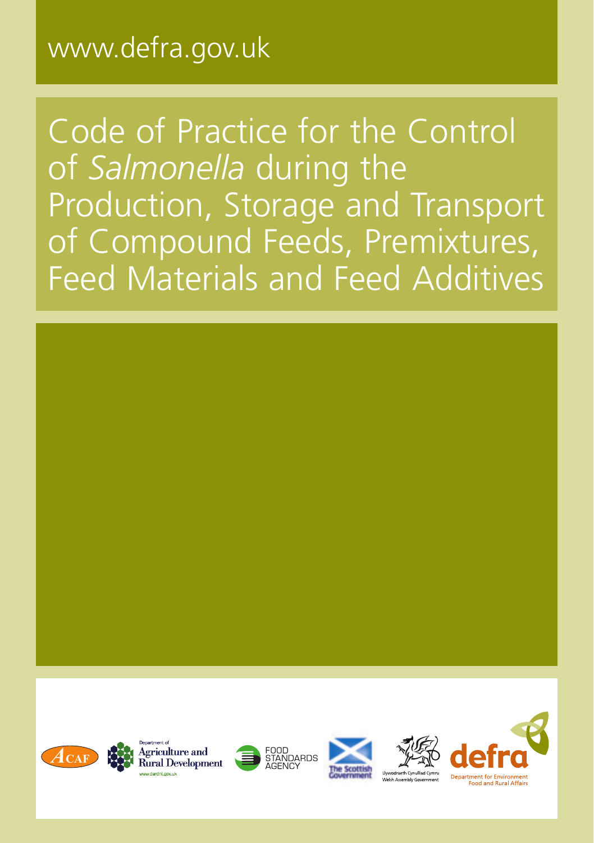# www.defra.gov.uk

Code of Practice for the Control of *Salmonella* during the Production, Storage and Transport of Compound Feeds, Premixtures, Feed Materials and Feed Additives











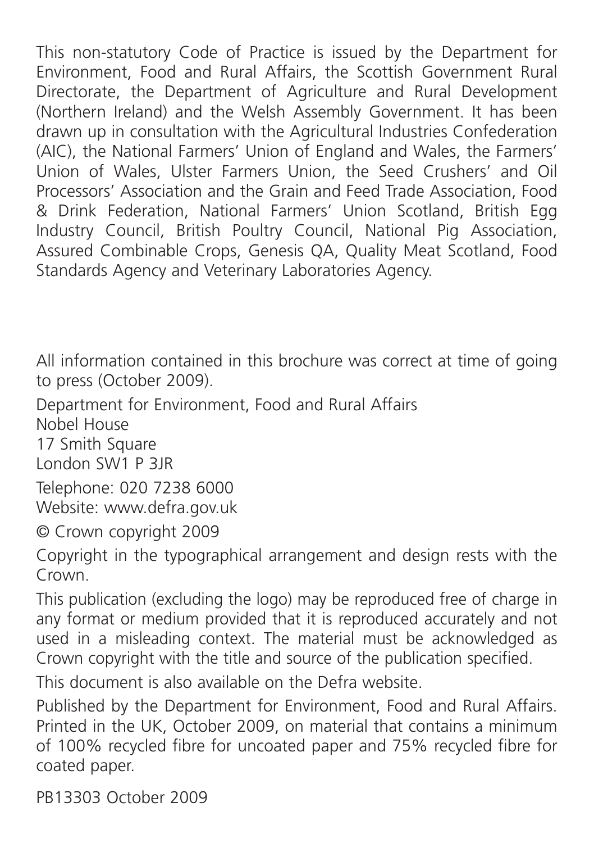This non-statutory Code of Practice is issued by the Department for Environment, Food and Rural Affairs, the Scottish Government Rural Directorate, the Department of Agriculture and Rural Development (Northern Ireland) and the Welsh Assembly Government. It has been drawn up in consultation with the Agricultural Industries Confederation (AIC), the National Farmers' Union of England and Wales, the Farmers' Union of Wales, Ulster Farmers Union, the Seed Crushers' and Oil Processors' Association and the Grain and Feed Trade Association, Food & Drink Federation, National Farmers' Union Scotland, British Egg Industry Council, British Poultry Council, National Pig Association, Assured Combinable Crops, Genesis QA, Quality Meat Scotland, Food Standards Agency and Veterinary Laboratories Agency.

All information contained in this brochure was correct at time of going to press (October 2009).

Department for Environment, Food and Rural Affairs

Nobel House

17 Smith Square London SW1 P 3JR

Telephone: 020 7238 6000

Website: www.defra.gov.uk

© Crown copyright 2009

Copyright in the typographical arrangement and design rests with the Crown

This publication (excluding the logo) may be reproduced free of charge in any format or medium provided that it is reproduced accurately and not used in a misleading context. The material must be acknowledged as Crown copyright with the title and source of the publication specified.

This document is also available on the Defra website.

Published by the Department for Environment, Food and Rural Affairs. Printed in the UK, October 2009, on material that contains a minimum of 100% recycled fibre for uncoated paper and 75% recycled fibre for coated paper.

PB13303 October 2009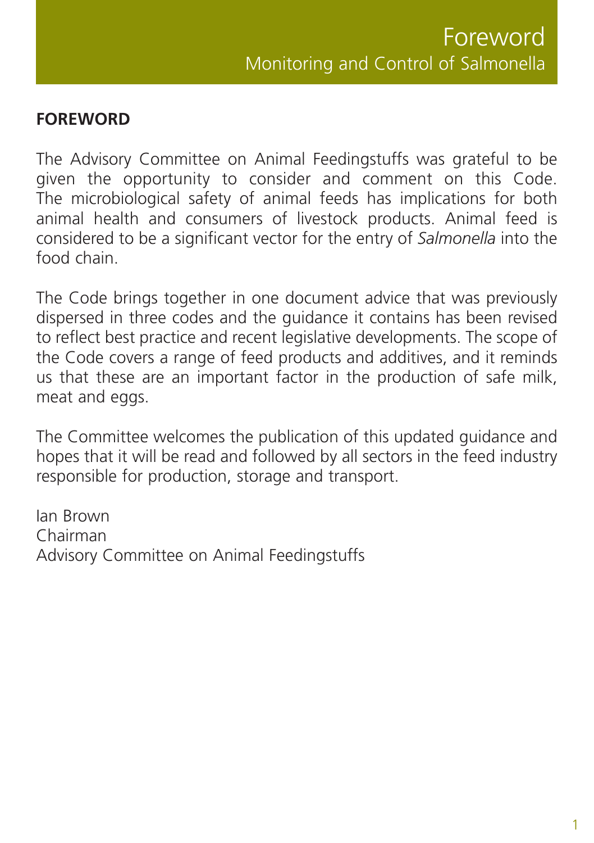#### **FOREWORD**

The Advisory Committee on Animal Feedingstuffs was grateful to be given the opportunity to consider and comment on this Code. The microbiological safety of animal feeds has implications for both animal health and consumers of livestock products. Animal feed is considered to be a significant vector for the entry of *Salmonella* into the food chain.

The Code brings together in one document advice that was previously dispersed in three codes and the guidance it contains has been revised to reflect best practice and recent legislative developments. The scope of the Code covers a range of feed products and additives, and it reminds us that these are an important factor in the production of safe milk, meat and eggs.

The Committee welcomes the publication of this updated guidance and hopes that it will be read and followed by all sectors in the feed industry responsible for production, storage and transport.

Ian Brown Chairman Advisory Committee on Animal Feedingstuffs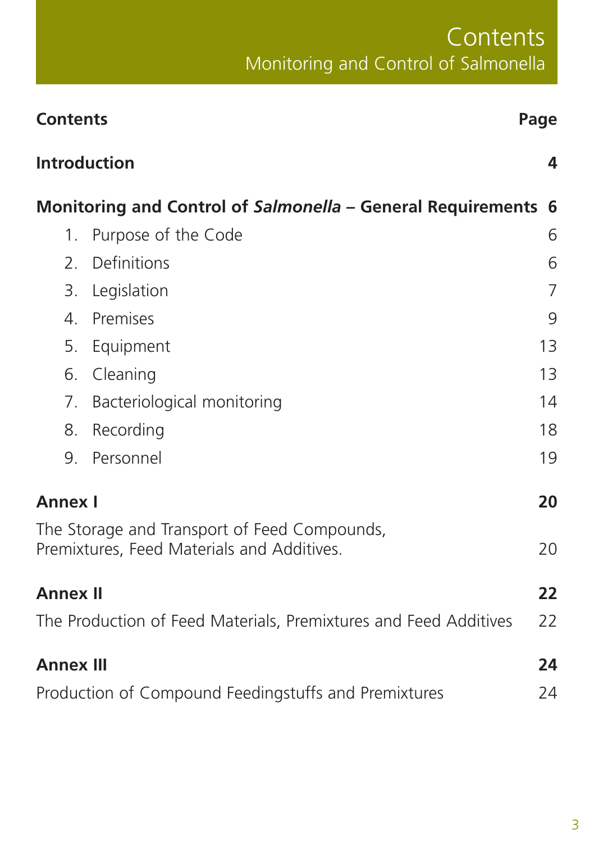# **Contents** Monitoring and Control of Salmonella

| <b>Contents</b>                                                                                |                            | Page           |
|------------------------------------------------------------------------------------------------|----------------------------|----------------|
| <b>Introduction</b><br>4<br>Monitoring and Control of Salmonella - General Requirements<br>- 6 |                            |                |
|                                                                                                |                            |                |
| 2 <sub>1</sub>                                                                                 | Definitions                | 6              |
| 3.                                                                                             | Legislation                | $\overline{7}$ |
| 4.                                                                                             | Premises                   | 9              |
| 5.                                                                                             | Equipment                  | 13             |
| 6.                                                                                             | Cleaning                   | 13             |
| 7.                                                                                             | Bacteriological monitoring | 14             |
| 8.                                                                                             | Recording                  | 18             |
| 9.                                                                                             | Personnel                  | 19             |
| <b>Annex I</b>                                                                                 |                            | 20             |
| The Storage and Transport of Feed Compounds,<br>Premixtures, Feed Materials and Additives.     |                            | 20             |
| <b>Annex II</b>                                                                                |                            | 22             |
| The Production of Feed Materials, Premixtures and Feed Additives                               |                            | 22             |
| <b>Annex III</b>                                                                               |                            | 24             |
| Production of Compound Feedingstuffs and Premixtures                                           |                            | 24             |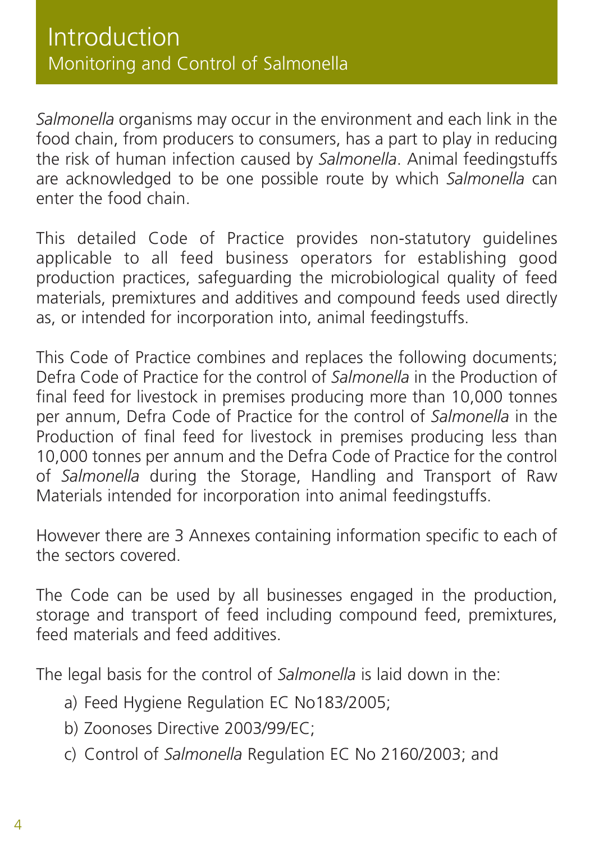*Salmonella* organisms may occur in the environment and each link in the food chain, from producers to consumers, has a part to play in reducing the risk of human infection caused by *Salmonella*. Animal feedingstuffs are acknowledged to be one possible route by which *Salmonella* can enter the food chain.

This detailed Code of Practice provides non-statutory guidelines applicable to all feed business operators for establishing good production practices, safeguarding the microbiological quality of feed materials, premixtures and additives and compound feeds used directly as, or intended for incorporation into, animal feedingstuffs.

This Code of Practice combines and replaces the following documents; Defra Code of Practice for the control of *Salmonella* in the Production of final feed for livestock in premises producing more than 10,000 tonnes per annum, Defra Code of Practice for the control of *Salmonella* in the Production of final feed for livestock in premises producing less than 10,000 tonnes per annum and the Defra Code of Practice for the control of *Salmonella* during the Storage, Handling and Transport of Raw Materials intended for incorporation into animal feedingstuffs.

However there are 3 Annexes containing information specific to each of the sectors covered.

The Code can be used by all businesses engaged in the production, storage and transport of feed including compound feed, premixtures, feed materials and feed additives.

The legal basis for the control of *Salmonella* is laid down in the:

- a) Feed Hygiene Regulation EC No183/2005;
- b) Zoonoses Directive 2003/99/EC;
- c) Control of *Salmonella* Regulation EC No 2160/2003; and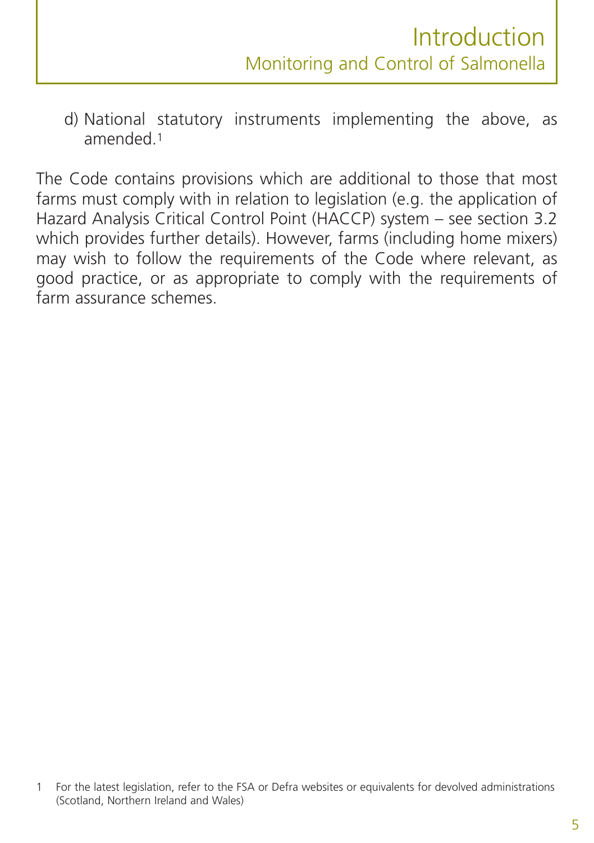d) National statutory instruments implementing the above, as amended.1

The Code contains provisions which are additional to those that most farms must comply with in relation to legislation (e.g. the application of Hazard Analysis Critical Control Point (HACCP) system – see section 3.2 which provides further details). However, farms (including home mixers) may wish to follow the requirements of the Code where relevant, as good practice, or as appropriate to comply with the requirements of farm assurance schemes.

<sup>1</sup> For the latest legislation, refer to the FSA or Defra websites or equivalents for devolved administrations (Scotland, Northern Ireland and Wales)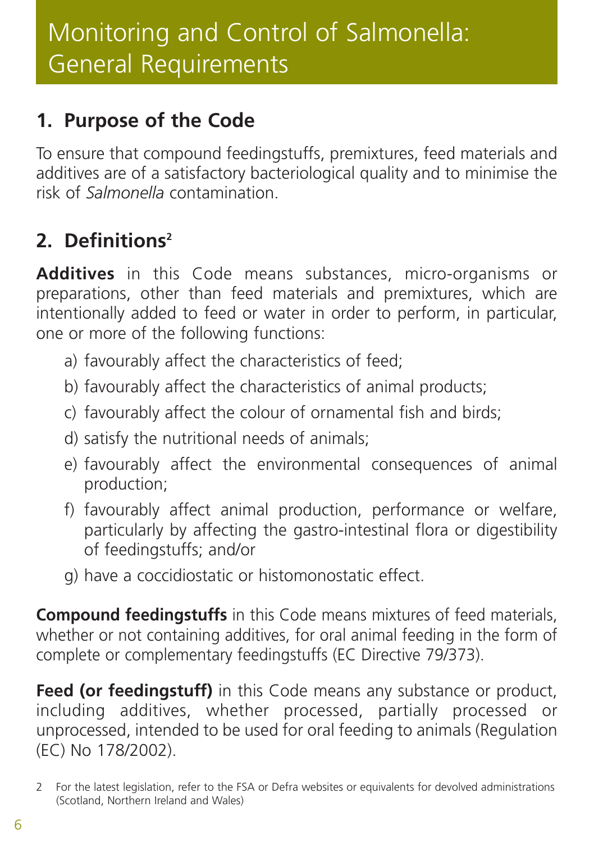## **1. Purpose of the Code**

To ensure that compound feedingstuffs, premixtures, feed materials and additives are of a satisfactory bacteriological quality and to minimise the risk of *Salmonella* contamination.

# **2. Definitions2**

**Additives** in this Code means substances, micro-organisms or preparations, other than feed materials and premixtures, which are intentionally added to feed or water in order to perform, in particular, one or more of the following functions:

- a) favourably affect the characteristics of feed;
- b) favourably affect the characteristics of animal products;
- c) favourably affect the colour of ornamental fish and birds;
- d) satisfy the nutritional needs of animals;
- e) favourably affect the environmental consequences of animal production;
- f) favourably affect animal production, performance or welfare, particularly by affecting the gastro-intestinal flora or digestibility of feedingstuffs; and/or
- g) have a coccidiostatic or histomonostatic effect.

**Compound feedingstuffs** in this Code means mixtures of feed materials, whether or not containing additives, for oral animal feeding in the form of complete or complementary feedingstuffs (EC Directive 79/373).

**Feed (or feedingstuff)** in this Code means any substance or product, including additives, whether processed, partially processed or unprocessed, intended to be used for oral feeding to animals (Regulation (EC) No 178/2002).

<sup>2</sup> For the latest legislation, refer to the FSA or Defra websites or equivalents for devolved administrations (Scotland, Northern Ireland and Wales)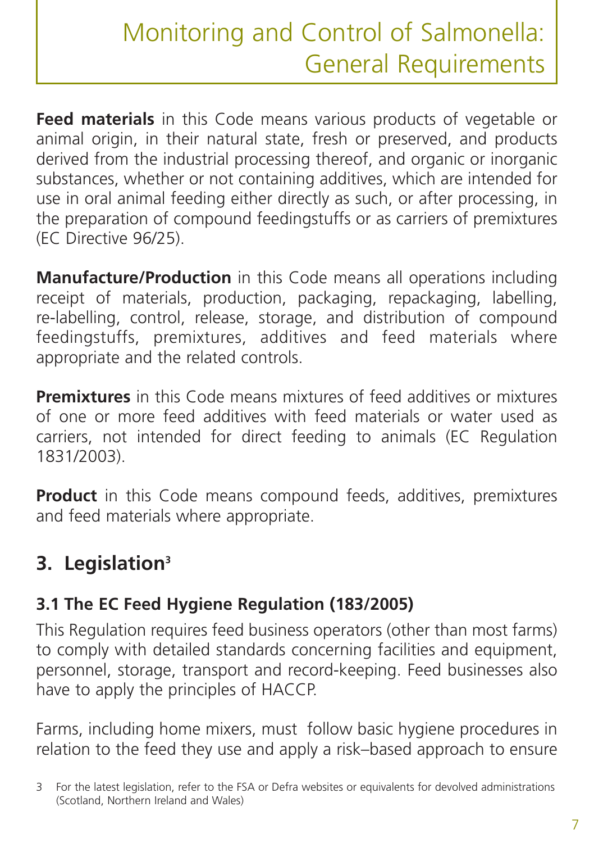**Feed materials** in this Code means various products of vegetable or animal origin, in their natural state, fresh or preserved, and products derived from the industrial processing thereof, and organic or inorganic substances, whether or not containing additives, which are intended for use in oral animal feeding either directly as such, or after processing, in the preparation of compound feedingstuffs or as carriers of premixtures (EC Directive 96/25).

**Manufacture/Production** in this Code means all operations including receipt of materials, production, packaging, repackaging, labelling, re-labelling, control, release, storage, and distribution of compound feedingstuffs, premixtures, additives and feed materials where appropriate and the related controls.

**Premixtures** in this Code means mixtures of feed additives or mixtures of one or more feed additives with feed materials or water used as carriers, not intended for direct feeding to animals (EC Regulation 1831/2003).

**Product** in this Code means compound feeds, additives, premixtures and feed materials where appropriate.

## **3. Legislation3**

### **3.1 The EC Feed Hygiene Regulation (183/2005)**

This Regulation requires feed business operators (other than most farms) to comply with detailed standards concerning facilities and equipment, personnel, storage, transport and record-keeping. Feed businesses also have to apply the principles of HACCP.

Farms, including home mixers, must follow basic hygiene procedures in relation to the feed they use and apply a risk–based approach to ensure

<sup>3</sup> For the latest legislation, refer to the FSA or Defra websites or equivalents for devolved administrations (Scotland, Northern Ireland and Wales)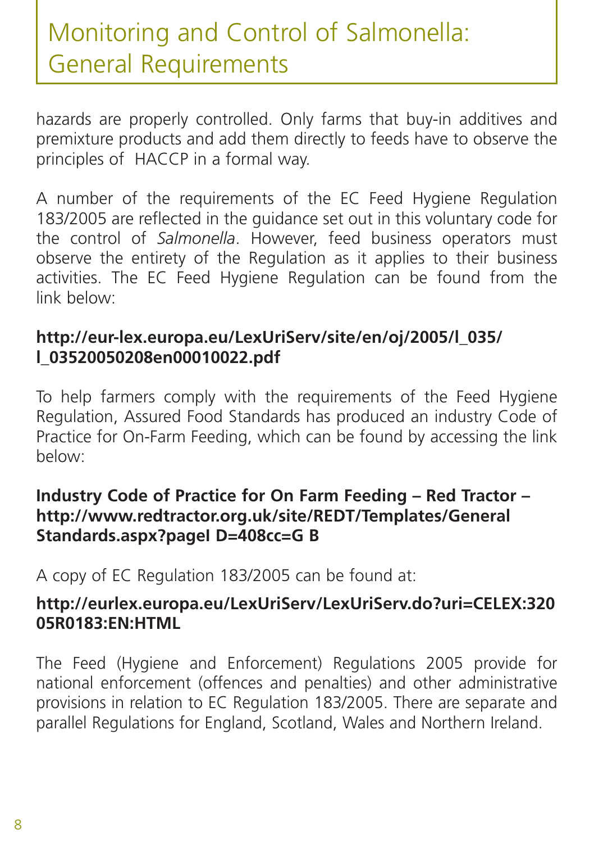hazards are properly controlled. Only farms that buy-in additives and premixture products and add them directly to feeds have to observe the principles of HACCP in a formal way.

A number of the requirements of the EC Feed Hygiene Regulation 183/2005 are reflected in the guidance set out in this voluntary code for the control of *Salmonella*. However, feed business operators must observe the entirety of the Regulation as it applies to their business activities. The EC Feed Hygiene Regulation can be found from the link below:

#### **[http://eur-lex.europa.eu/LexUriServ/site/en/oj/2005/l\\_035/](http://eur-lex.europa.eu/LexUriServ/site/en/oj/2005/l_035/l_03520050208en00010022.pdf) l\_03520050208en00010022.pdf**

To help farmers comply with the requirements of the Feed Hygiene Regulation, Assured Food Standards has produced an industry Code of Practice for On-Farm Feeding, which can be found by accessing the link below:

#### **Industry Code of Practice for On Farm Feeding – Red Tractor – [http://www.redtractor.org.uk/site/REDT/Templates/Genera](http://www.redtractor.org.uk/site/REDT/Templates/GeneralStandards.aspx?pageID=408cc=GB)l Standards.aspx?pageI D=408cc=G B**

A copy of EC Regulation 183/2005 can be found at:

#### **[http://eurlex.europa.eu/LexUriServ/LexUriServ.do?uri=CELEX:320](http://eurlex.europa.eu/LexUriServ/LexUriServ.do?uri=CELEX:32005R0183:EN:HTML) 05R0183:EN:HTML**

The Feed (Hygiene and Enforcement) Regulations 2005 provide for national enforcement (offences and penalties) and other administrative provisions in relation to EC Regulation 183/2005. There are separate and parallel Regulations for England, Scotland, Wales and Northern Ireland.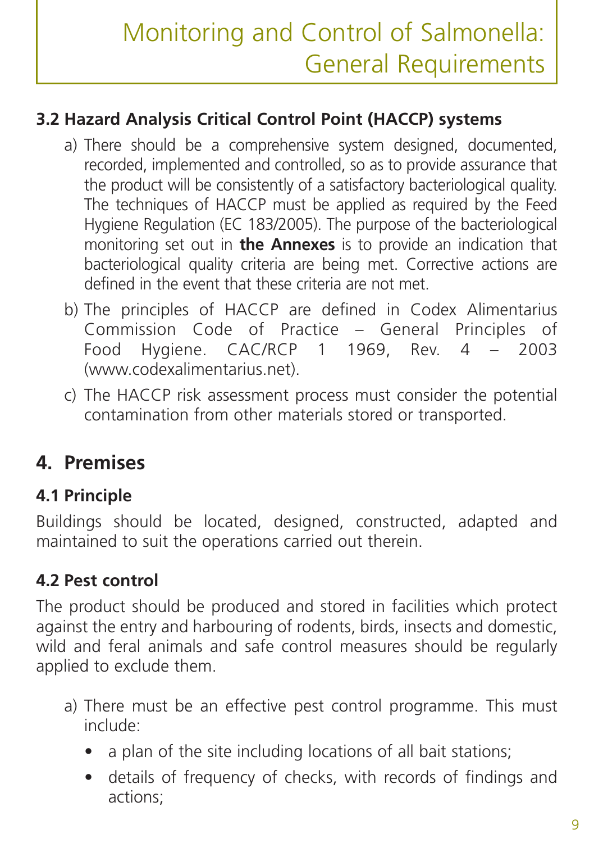### **3.2 Hazard Analysis Critical Control Point (HACCP) systems**

- a) There should be a comprehensive system designed, documented, recorded, implemented and controlled, so as to provide assurance that the product will be consistently of a satisfactory bacteriological quality. The techniques of HACCP must be applied as required by the Feed Hygiene Regulation (EC 183/2005). The purpose of the bacteriological monitoring set out in **the Annexes** is to provide an indication that bacteriological quality criteria are being met. Corrective actions are defined in the event that these criteria are not met.
- b) The principles of HACCP are defined in Codex Alimentarius Commission Code of Practice – General Principles of Food Hygiene. CAC/RCP 1 1969, Rev. 4 – 2003 (www.codexalimentarius.net).
- c) The HACCP risk assessment process must consider the potential contamination from other materials stored or transported.

## **4. Premises**

#### **4.1 Principle**

Buildings should be located, designed, constructed, adapted and maintained to suit the operations carried out therein.

#### **4.2 Pest control**

The product should be produced and stored in facilities which protect against the entry and harbouring of rodents, birds, insects and domestic, wild and feral animals and safe control measures should be regularly applied to exclude them.

- a) There must be an effective pest control programme. This must include:
	- a plan of the site including locations of all bait stations;
	- details of frequency of checks, with records of findings and actions;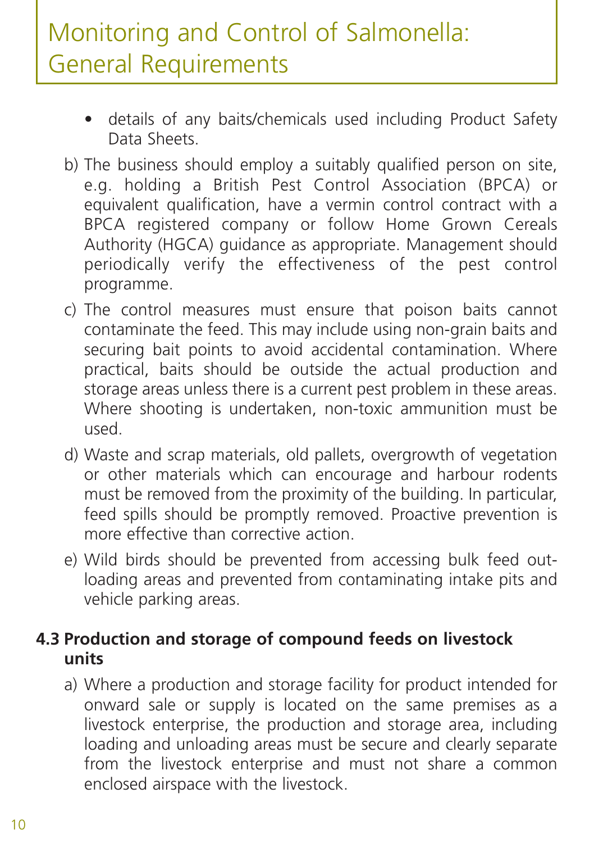- details of any baits/chemicals used including Product Safety Data Sheets.
- b) The business should employ a suitably qualified person on site, e.g. holding a British Pest Control Association (BPCA) or equivalent qualification, have a vermin control contract with a BPCA registered company or follow Home Grown Cereals Authority (HGCA) guidance as appropriate. Management should periodically verify the effectiveness of the pest control programme.
- c) The control measures must ensure that poison baits cannot contaminate the feed. This may include using non-grain baits and securing bait points to avoid accidental contamination. Where practical, baits should be outside the actual production and storage areas unless there is a current pest problem in these areas. Where shooting is undertaken, non-toxic ammunition must be used.
- d) Waste and scrap materials, old pallets, overgrowth of vegetation or other materials which can encourage and harbour rodents must be removed from the proximity of the building. In particular, feed spills should be promptly removed. Proactive prevention is more effective than corrective action.
- e) Wild birds should be prevented from accessing bulk feed outloading areas and prevented from contaminating intake pits and vehicle parking areas.

#### **4.3 Production and storage of compound feeds on livestock units**

a) Where a production and storage facility for product intended for onward sale or supply is located on the same premises as a livestock enterprise, the production and storage area, including loading and unloading areas must be secure and clearly separate from the livestock enterprise and must not share a common enclosed airspace with the livestock.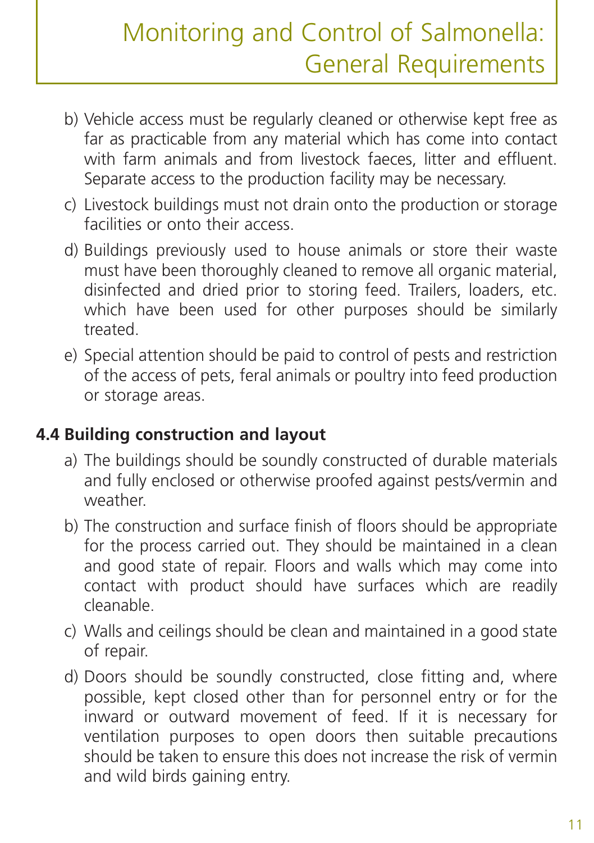- b) Vehicle access must be regularly cleaned or otherwise kept free as far as practicable from any material which has come into contact with farm animals and from livestock faeces, litter and effluent. Separate access to the production facility may be necessary.
- c) Livestock buildings must not drain onto the production or storage facilities or onto their access.
- d) Buildings previously used to house animals or store their waste must have been thoroughly cleaned to remove all organic material, disinfected and dried prior to storing feed. Trailers, loaders, etc. which have been used for other purposes should be similarly treated.
- e) Special attention should be paid to control of pests and restriction of the access of pets, feral animals or poultry into feed production or storage areas.

#### **4.4 Building construction and layout**

- a) The buildings should be soundly constructed of durable materials and fully enclosed or otherwise proofed against pests/vermin and weather.
- b) The construction and surface finish of floors should be appropriate for the process carried out. They should be maintained in a clean and good state of repair. Floors and walls which may come into contact with product should have surfaces which are readily cleanable.
- c) Walls and ceilings should be clean and maintained in a good state of repair.
- d) Doors should be soundly constructed, close fitting and, where possible, kept closed other than for personnel entry or for the inward or outward movement of feed. If it is necessary for ventilation purposes to open doors then suitable precautions should be taken to ensure this does not increase the risk of vermin and wild birds gaining entry.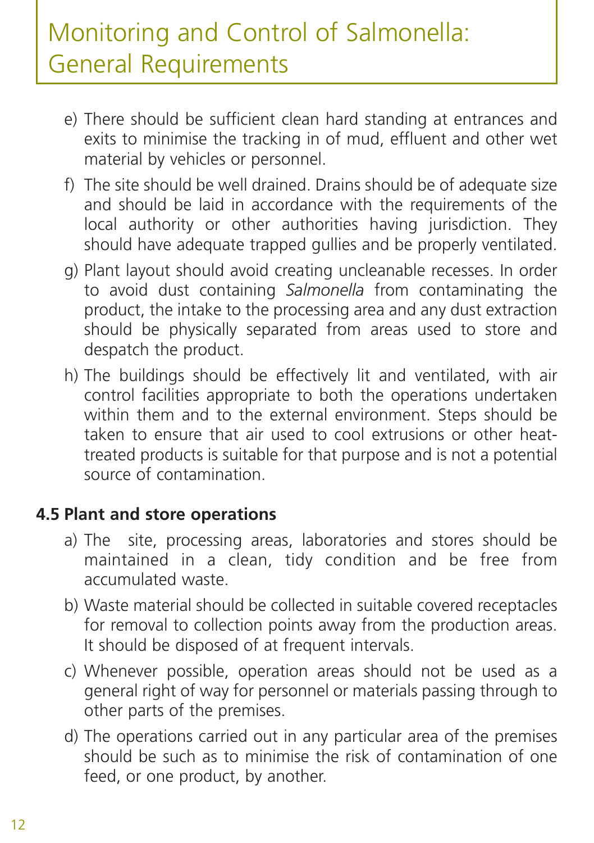- e) There should be sufficient clean hard standing at entrances and exits to minimise the tracking in of mud, effluent and other wet material by vehicles or personnel.
- f) The site should be well drained. Drains should be of adequate size and should be laid in accordance with the requirements of the local authority or other authorities having jurisdiction. They should have adequate trapped gullies and be properly ventilated.
- g) Plant layout should avoid creating uncleanable recesses. In order to avoid dust containing *Salmonella* from contaminating the product, the intake to the processing area and any dust extraction should be physically separated from areas used to store and despatch the product.
- h) The buildings should be effectively lit and ventilated, with air control facilities appropriate to both the operations undertaken within them and to the external environment. Steps should be taken to ensure that air used to cool extrusions or other heattreated products is suitable for that purpose and is not a potential source of contamination.

#### **4.5 Plant and store operations**

- a) The site, processing areas, laboratories and stores should be maintained in a clean, tidy condition and be free from accumulated waste.
- b) Waste material should be collected in suitable covered receptacles for removal to collection points away from the production areas. It should be disposed of at frequent intervals.
- c) Whenever possible, operation areas should not be used as a general right of way for personnel or materials passing through to other parts of the premises.
- d) The operations carried out in any particular area of the premises should be such as to minimise the risk of contamination of one feed, or one product, by another.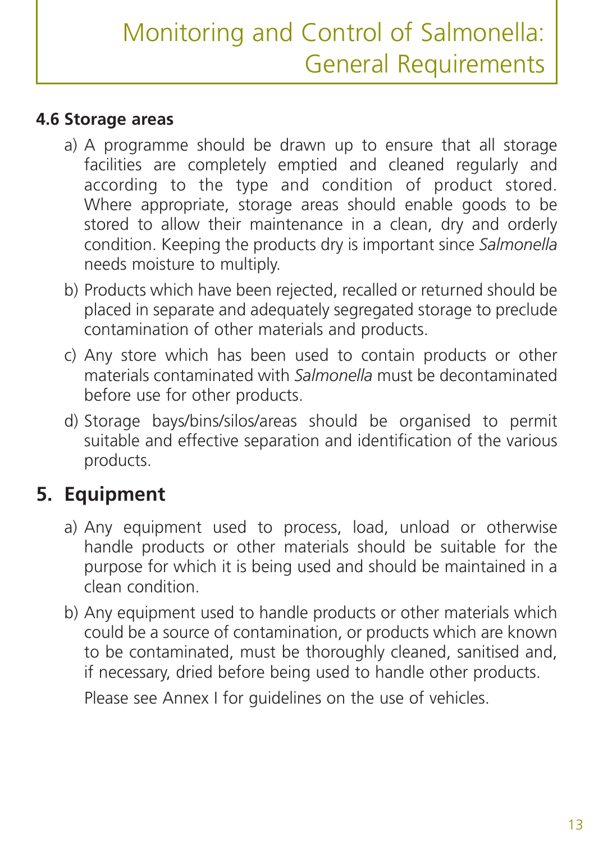### **4.6 Storage areas**

- a) A programme should be drawn up to ensure that all storage facilities are completely emptied and cleaned regularly and according to the type and condition of product stored. Where appropriate, storage areas should enable goods to be stored to allow their maintenance in a clean, dry and orderly condition. Keeping the products dry is important since *Salmonella* needs moisture to multiply.
- b) Products which have been rejected, recalled or returned should be placed in separate and adequately segregated storage to preclude contamination of other materials and products.
- c) Any store which has been used to contain products or other materials contaminated with *Salmonella* must be decontaminated before use for other products.
- d) Storage bays/bins/silos/areas should be organised to permit suitable and effective separation and identification of the various products.

# **5. Equipment**

- a) Any equipment used to process, load, unload or otherwise handle products or other materials should be suitable for the purpose for which it is being used and should be maintained in a clean condition.
- b) Any equipment used to handle products or other materials which could be a source of contamination, or products which are known to be contaminated, must be thoroughly cleaned, sanitised and, if necessary, dried before being used to handle other products.

Please see Annex I for guidelines on the use of vehicles.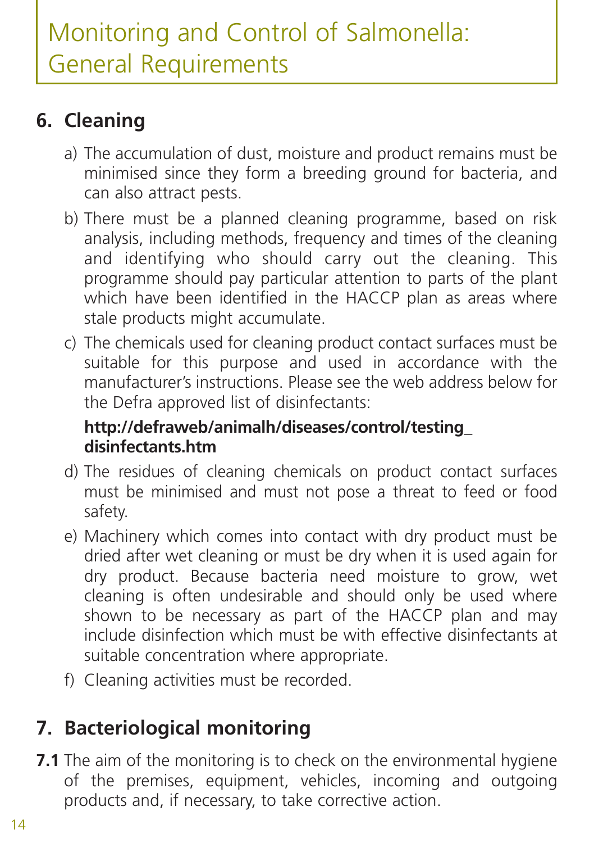# **6. Cleaning**

- a) The accumulation of dust, moisture and product remains must be minimised since they form a breeding ground for bacteria, and can also attract pests.
- b) There must be a planned cleaning programme, based on risk analysis, including methods, frequency and times of the cleaning and identifying who should carry out the cleaning. This programme should pay particular attention to parts of the plant which have been identified in the HACCP plan as areas where stale products might accumulate.
- c) The chemicals used for cleaning product contact surfaces must be suitable for this purpose and used in accordance with the manufacturer's instructions. Please see the web address below for the Defra approved list of disinfectants:

#### **http://defraweb/animalh/diseases/control/testing\_ disinfectants.htm**

- d) The residues of cleaning chemicals on product contact surfaces must be minimised and must not pose a threat to feed or food safety.
- e) Machinery which comes into contact with dry product must be dried after wet cleaning or must be dry when it is used again for dry product. Because bacteria need moisture to grow, wet cleaning is often undesirable and should only be used where shown to be necessary as part of the HACCP plan and may include disinfection which must be with effective disinfectants at suitable concentration where appropriate.
- f) Cleaning activities must be recorded.

# **7. Bacteriological monitoring**

**7.1** The aim of the monitoring is to check on the environmental hygiene of the premises, equipment, vehicles, incoming and outgoing products and, if necessary, to take corrective action.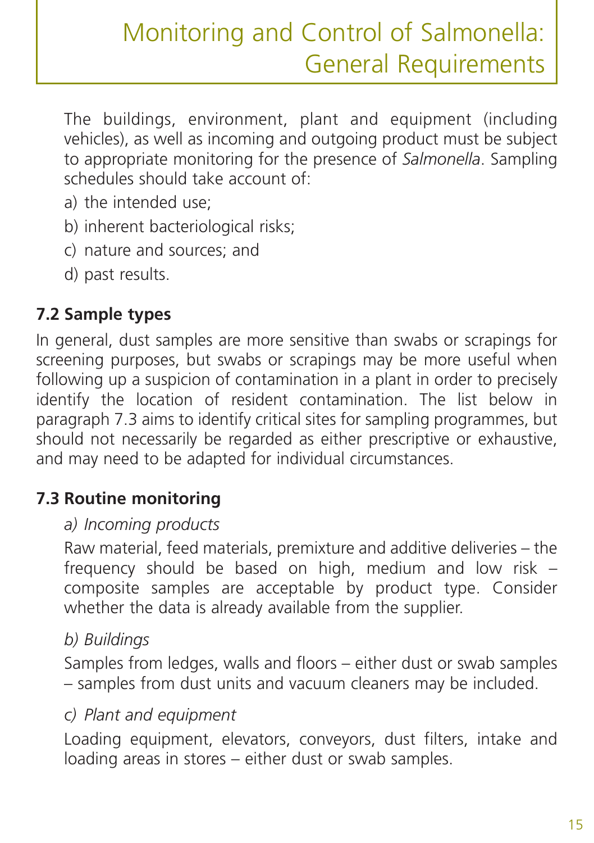The buildings, environment, plant and equipment (including vehicles), as well as incoming and outgoing product must be subject to appropriate monitoring for the presence of *Salmonella*. Sampling schedules should take account of:

- a) the intended use;
- b) inherent bacteriological risks;
- c) nature and sources; and
- d) past results.

## **7.2 Sample types**

In general, dust samples are more sensitive than swabs or scrapings for screening purposes, but swabs or scrapings may be more useful when following up a suspicion of contamination in a plant in order to precisely identify the location of resident contamination. The list below in paragraph 7.3 aims to identify critical sites for sampling programmes, but should not necessarily be regarded as either prescriptive or exhaustive, and may need to be adapted for individual circumstances.

### **7.3 Routine monitoring**

#### *a) Incoming products*

Raw material, feed materials, premixture and additive deliveries – the frequency should be based on high, medium and low risk – composite samples are acceptable by product type. Consider whether the data is already available from the supplier.

#### *b) Buildings*

Samples from ledges, walls and floors – either dust or swab samples – samples from dust units and vacuum cleaners may be included.

#### *c) Plant and equipment*

Loading equipment, elevators, conveyors, dust filters, intake and loading areas in stores – either dust or swab samples.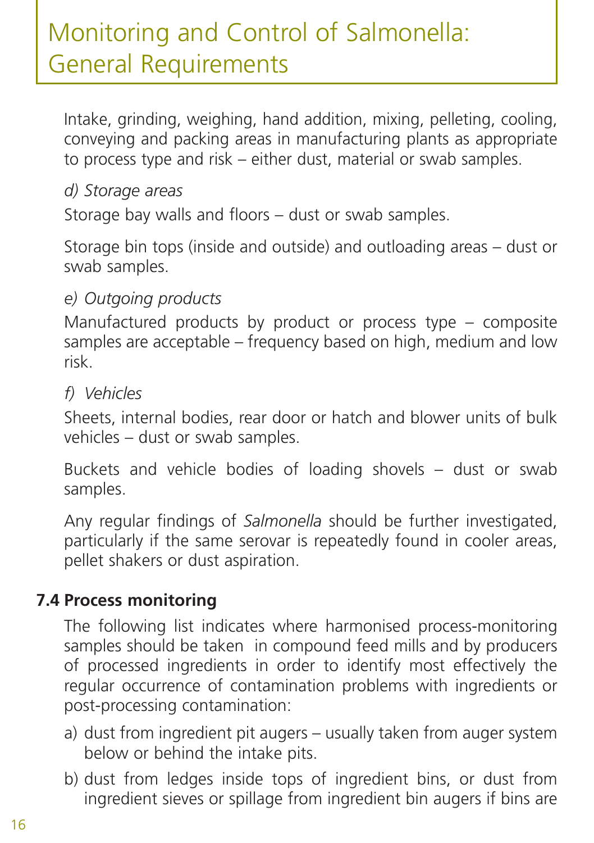Intake, grinding, weighing, hand addition, mixing, pelleting, cooling, conveying and packing areas in manufacturing plants as appropriate to process type and risk – either dust, material or swab samples.

#### *d) Storage areas*

Storage bay walls and floors – dust or swab samples.

Storage bin tops (inside and outside) and outloading areas – dust or swab samples.

#### *e) Outgoing products*

Manufactured products by product or process type – composite samples are acceptable – frequency based on high, medium and low risk.

#### *f) Vehicles*

Sheets, internal bodies, rear door or hatch and blower units of bulk vehicles – dust or swab samples.

Buckets and vehicle bodies of loading shovels – dust or swab samples.

Any regular findings of *Salmonella* should be further investigated, particularly if the same serovar is repeatedly found in cooler areas, pellet shakers or dust aspiration.

#### **7.4 Process monitoring**

The following list indicates where harmonised process-monitoring samples should be taken in compound feed mills and by producers of processed ingredients in order to identify most effectively the regular occurrence of contamination problems with ingredients or post-processing contamination:

- a) dust from ingredient pit augers usually taken from auger system below or behind the intake pits.
- b) dust from ledges inside tops of ingredient bins, or dust from ingredient sieves or spillage from ingredient bin augers if bins are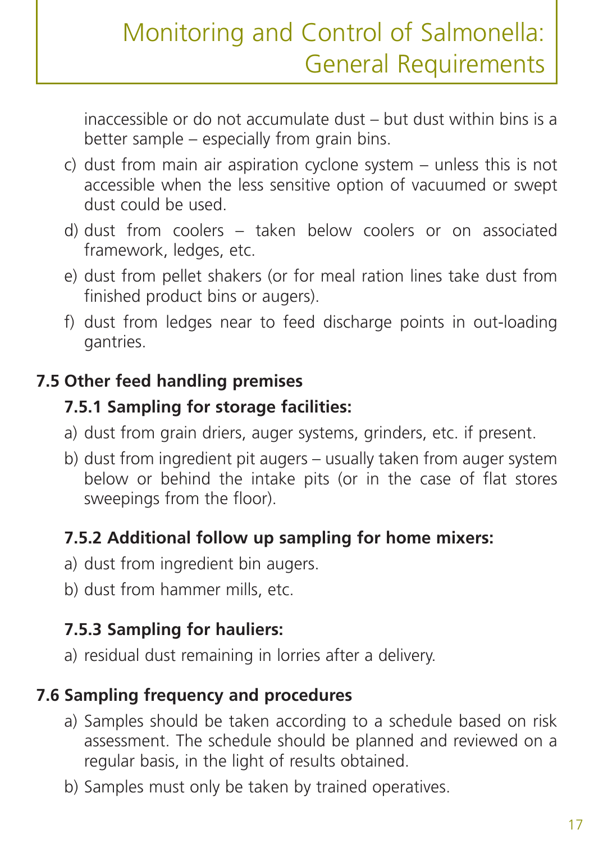inaccessible or do not accumulate dust – but dust within bins is a better sample – especially from grain bins.

- c) dust from main air aspiration cyclone system unless this is not accessible when the less sensitive option of vacuumed or swept dust could be used.
- d) dust from coolers taken below coolers or on associated framework, ledges, etc.
- e) dust from pellet shakers (or for meal ration lines take dust from finished product bins or augers).
- f) dust from ledges near to feed discharge points in out-loading gantries.

### **7.5 Other feed handling premises**

### **7.5.1 Sampling for storage facilities:**

- a) dust from grain driers, auger systems, grinders, etc. if present.
- b) dust from ingredient pit augers usually taken from auger system below or behind the intake pits (or in the case of flat stores sweepings from the floor).

### **7.5.2 Additional follow up sampling for home mixers:**

- a) dust from ingredient bin augers.
- b) dust from hammer mills, etc.

## **7.5.3 Sampling for hauliers:**

a) residual dust remaining in lorries after a delivery.

## **7.6 Sampling frequency and procedures**

- a) Samples should be taken according to a schedule based on risk assessment. The schedule should be planned and reviewed on a regular basis, in the light of results obtained.
- b) Samples must only be taken by trained operatives.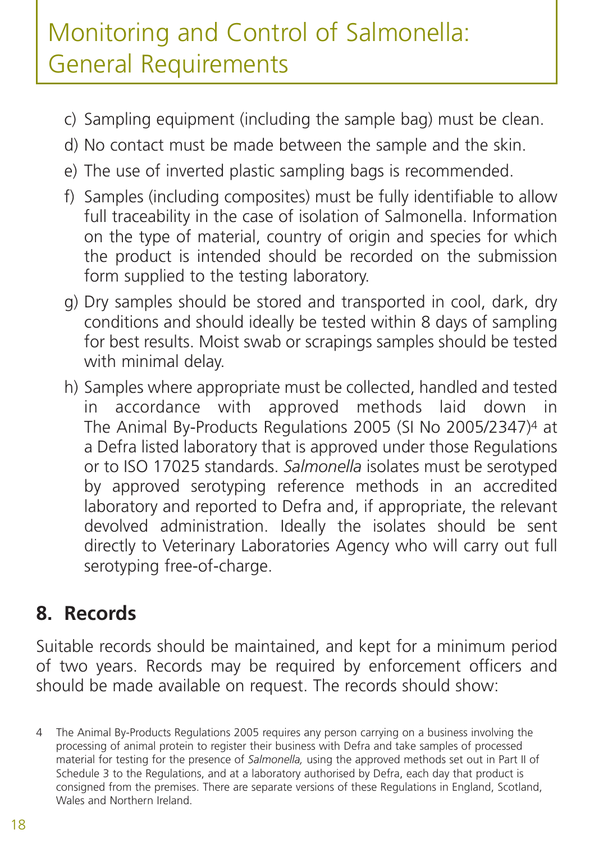- c) Sampling equipment (including the sample bag) must be clean.
- d) No contact must be made between the sample and the skin.
- e) The use of inverted plastic sampling bags is recommended.
- f) Samples (including composites) must be fully identifiable to allow full traceability in the case of isolation of Salmonella. Information on the type of material, country of origin and species for which the product is intended should be recorded on the submission form supplied to the testing laboratory.
- g) Dry samples should be stored and transported in cool, dark, dry conditions and should ideally be tested within 8 days of sampling for best results. Moist swab or scrapings samples should be tested with minimal delay.
- h) Samples where appropriate must be collected, handled and tested in accordance with approved methods laid down in The Animal By-Products Regulations 2005 (SI No 2005/2347)4 at a Defra listed laboratory that is approved under those Regulations or to ISO 17025 standards. *Salmonella* isolates must be serotyped by approved serotyping reference methods in an accredited laboratory and reported to Defra and, if appropriate, the relevant devolved administration. Ideally the isolates should be sent directly to Veterinary Laboratories Agency who will carry out full serotyping free-of-charge.

## **8. Records**

Suitable records should be maintained, and kept for a minimum period of two years. Records may be required by enforcement officers and should be made available on request. The records should show:

<sup>4</sup> The Animal By-Products Regulations 2005 requires any person carrying on a business involving the processing of animal protein to register their business with Defra and take samples of processed material for testing for the presence of *Salmonella,* using the approved methods set out in Part II of Schedule 3 to the Regulations, and at a laboratory authorised by Defra, each day that product is consigned from the premises. There are separate versions of these Regulations in England, Scotland, Wales and Northern Ireland.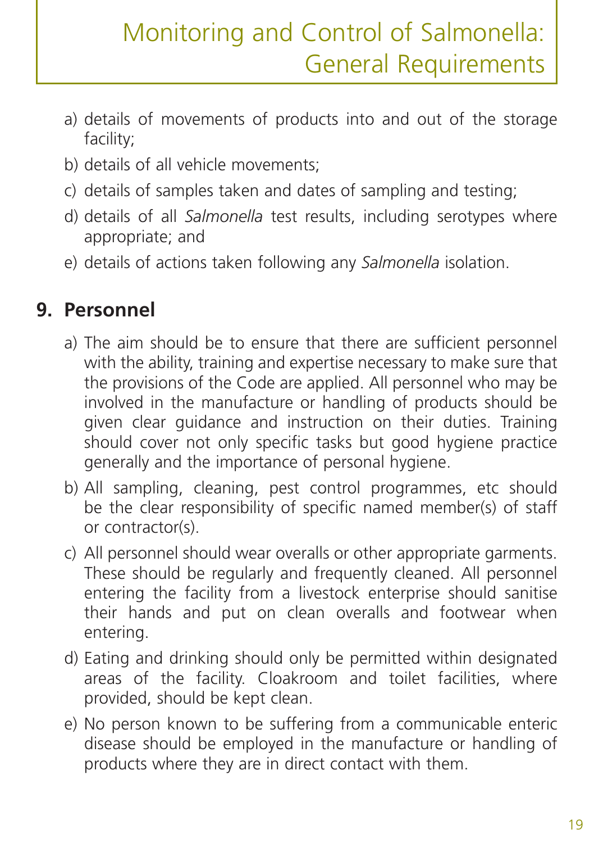- a) details of movements of products into and out of the storage facility;
- b) details of all vehicle movements;
- c) details of samples taken and dates of sampling and testing;
- d) details of all *Salmonella* test results, including serotypes where appropriate; and
- e) details of actions taken following any *Salmonella* isolation.

## **9. Personnel**

- a) The aim should be to ensure that there are sufficient personnel with the ability, training and expertise necessary to make sure that the provisions of the Code are applied. All personnel who may be involved in the manufacture or handling of products should be given clear guidance and instruction on their duties. Training should cover not only specific tasks but good hygiene practice generally and the importance of personal hygiene.
- b) All sampling, cleaning, pest control programmes, etc should be the clear responsibility of specific named member(s) of staff or contractor(s).
- c) All personnel should wear overalls or other appropriate garments. These should be regularly and frequently cleaned. All personnel entering the facility from a livestock enterprise should sanitise their hands and put on clean overalls and footwear when entering.
- d) Eating and drinking should only be permitted within designated areas of the facility. Cloakroom and toilet facilities, where provided, should be kept clean.
- e) No person known to be suffering from a communicable enteric disease should be employed in the manufacture or handling of products where they are in direct contact with them.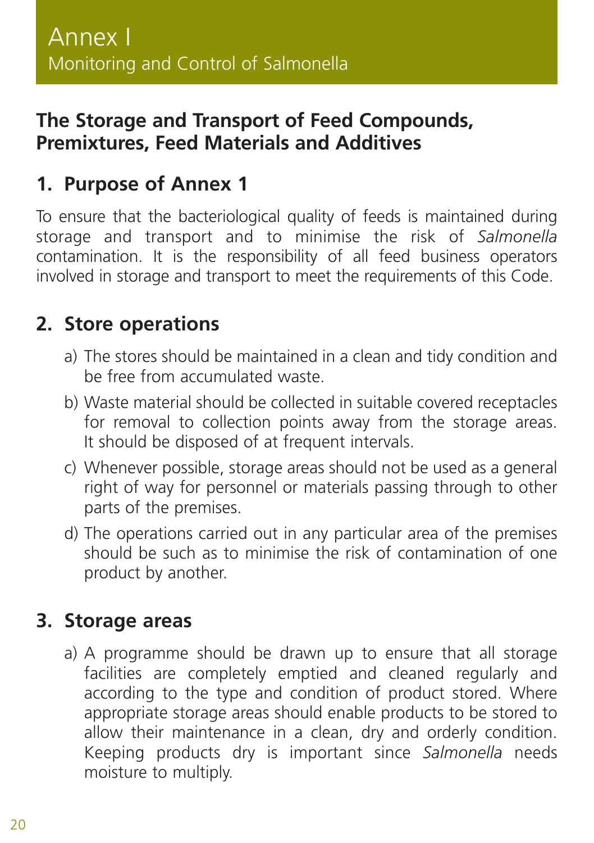## **The Storage and Transport of Feed Compounds, Premixtures, Feed Materials and Additives**

## **1. Purpose of Annex 1**

To ensure that the bacteriological quality of feeds is maintained during storage and transport and to minimise the risk of *Salmonella* contamination. It is the responsibility of all feed business operators involved in storage and transport to meet the requirements of this Code.

### **2. Store operations**

- a) The stores should be maintained in a clean and tidy condition and be free from accumulated waste.
- b) Waste material should be collected in suitable covered receptacles for removal to collection points away from the storage areas. It should be disposed of at frequent intervals.
- c) Whenever possible, storage areas should not be used as a general right of way for personnel or materials passing through to other parts of the premises.
- d) The operations carried out in any particular area of the premises should be such as to minimise the risk of contamination of one product by another.

### **3. Storage areas**

a) A programme should be drawn up to ensure that all storage facilities are completely emptied and cleaned regularly and according to the type and condition of product stored. Where appropriate storage areas should enable products to be stored to allow their maintenance in a clean, dry and orderly condition. Keeping products dry is important since *Salmonella* needs moisture to multiply.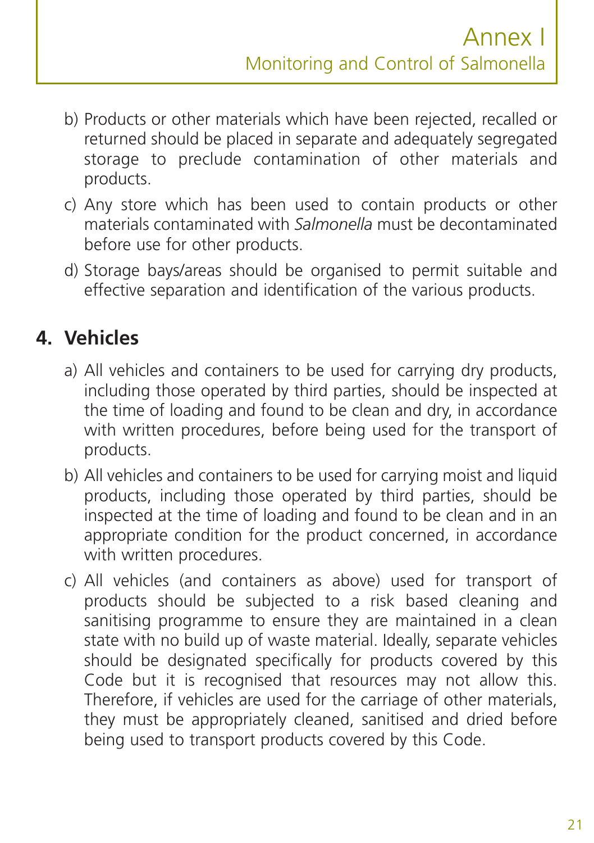- b) Products or other materials which have been rejected, recalled or returned should be placed in separate and adequately segregated storage to preclude contamination of other materials and products.
- c) Any store which has been used to contain products or other materials contaminated with *Salmonella* must be decontaminated before use for other products.
- d) Storage bays/areas should be organised to permit suitable and effective separation and identification of the various products.

## **4. Vehicles**

- a) All vehicles and containers to be used for carrying dry products, including those operated by third parties, should be inspected at the time of loading and found to be clean and dry, in accordance with written procedures, before being used for the transport of products.
- b) All vehicles and containers to be used for carrying moist and liquid products, including those operated by third parties, should be inspected at the time of loading and found to be clean and in an appropriate condition for the product concerned, in accordance with written procedures.
- c) All vehicles (and containers as above) used for transport of products should be subjected to a risk based cleaning and sanitising programme to ensure they are maintained in a clean state with no build up of waste material. Ideally, separate vehicles should be designated specifically for products covered by this Code but it is recognised that resources may not allow this. Therefore, if vehicles are used for the carriage of other materials, they must be appropriately cleaned, sanitised and dried before being used to transport products covered by this Code.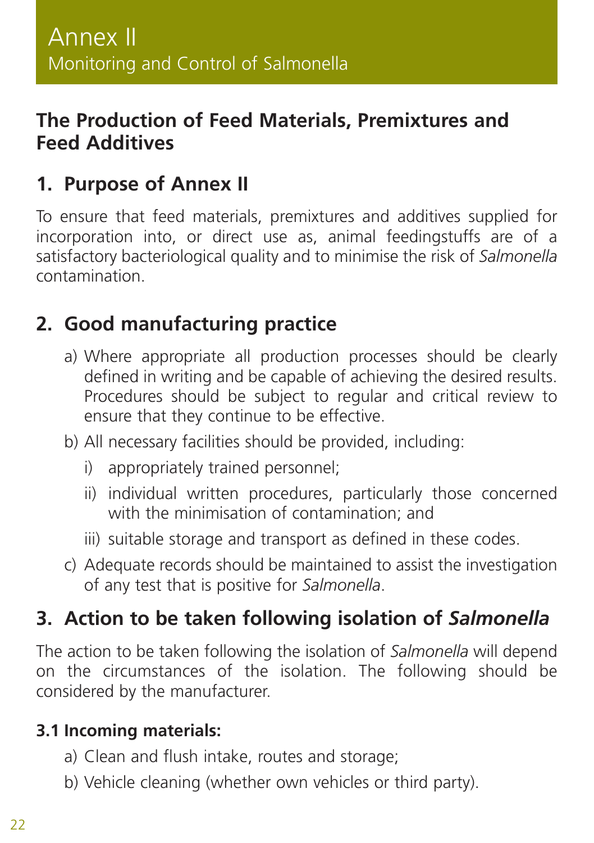## **The Production of Feed Materials, Premixtures and Feed Additives**

## **1. Purpose of Annex II**

To ensure that feed materials, premixtures and additives supplied for incorporation into, or direct use as, animal feedingstuffs are of a satisfactory bacteriological quality and to minimise the risk of *Salmonella* contamination.

## **2. Good manufacturing practice**

- a) Where appropriate all production processes should be clearly defined in writing and be capable of achieving the desired results. Procedures should be subject to regular and critical review to ensure that they continue to be effective.
- b) All necessary facilities should be provided, including:
	- i) appropriately trained personnel;
	- ii) individual written procedures, particularly those concerned with the minimisation of contamination; and
	- iii) suitable storage and transport as defined in these codes.
- c) Adequate records should be maintained to assist the investigation of any test that is positive for *Salmonella*.

# **3. Action to be taken following isolation of** *Salmonella*

The action to be taken following the isolation of *Salmonella* will depend on the circumstances of the isolation. The following should be considered by the manufacturer.

#### **3.1 Incoming materials:**

- a) Clean and flush intake, routes and storage;
- b) Vehicle cleaning (whether own vehicles or third party).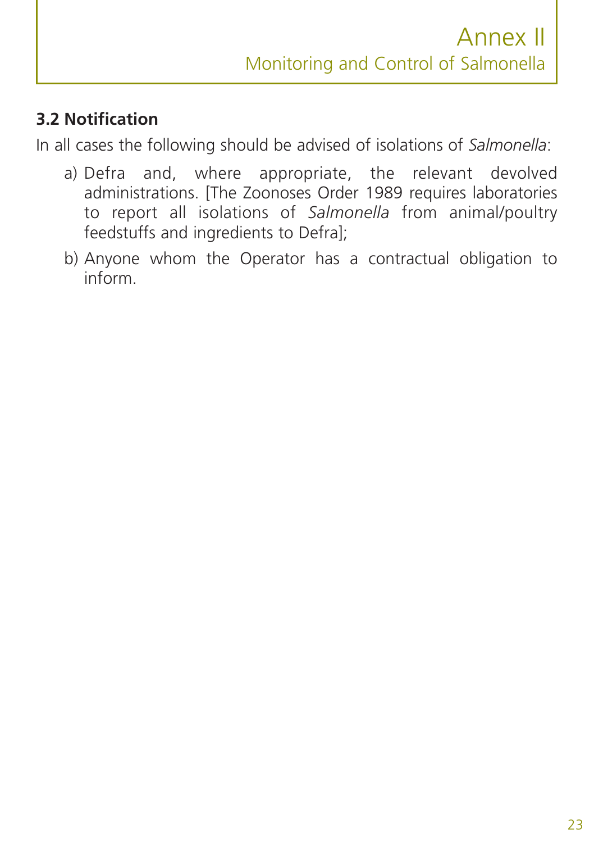## **3.2 Notification**

In all cases the following should be advised of isolations of *Salmonella*:

- a) Defra and, where appropriate, the relevant devolved administrations. [The Zoonoses Order 1989 requires laboratories to report all isolations of *Salmonella* from animal/poultry feedstuffs and ingredients to Defra];
- b) Anyone whom the Operator has a contractual obligation to inform.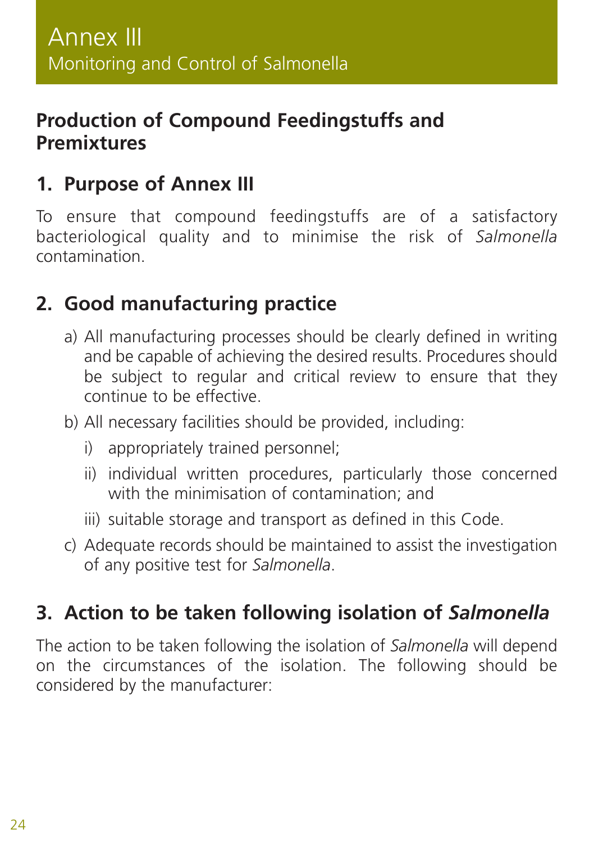## **Production of Compound Feedingstuffs and Premixtures**

## **1. Purpose of Annex III**

To ensure that compound feedingstuffs are of a satisfactory bacteriological quality and to minimise the risk of *Salmonella* contamination.

## **2. Good manufacturing practice**

- a) All manufacturing processes should be clearly defined in writing and be capable of achieving the desired results. Procedures should be subject to regular and critical review to ensure that they continue to be effective.
- b) All necessary facilities should be provided, including:
	- i) appropriately trained personnel;
	- ii) individual written procedures, particularly those concerned with the minimisation of contamination; and
	- iii) suitable storage and transport as defined in this Code.
- c) Adequate records should be maintained to assist the investigation of any positive test for *Salmonella*.

## **3. Action to be taken following isolation of** *Salmonella*

The action to be taken following the isolation of *Salmonella* will depend on the circumstances of the isolation. The following should be considered by the manufacturer: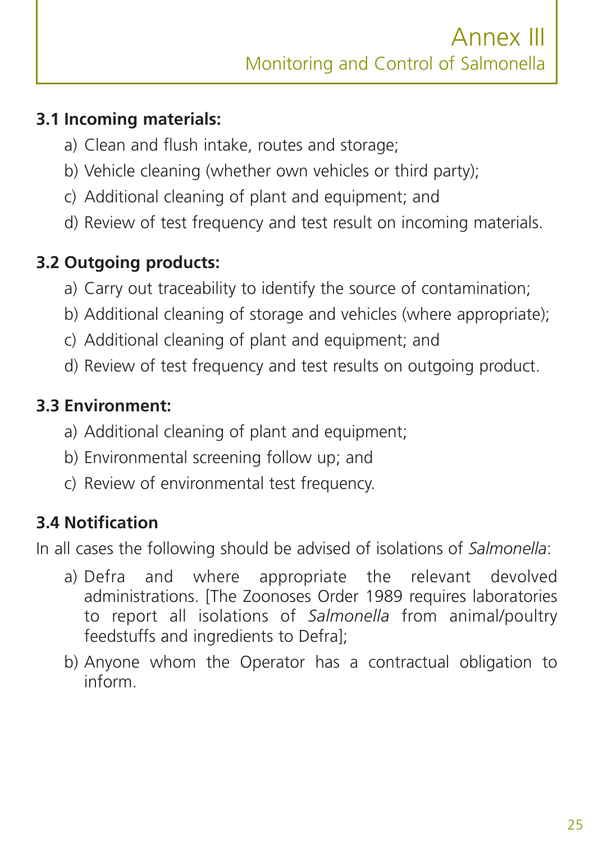## **3.1 Incoming materials:**

- a) Clean and flush intake, routes and storage;
- b) Vehicle cleaning (whether own vehicles or third party);
- c) Additional cleaning of plant and equipment; and
- d) Review of test frequency and test result on incoming materials.

## **3.2 Outgoing products:**

- a) Carry out traceability to identify the source of contamination;
- b) Additional cleaning of storage and vehicles (where appropriate);
- c) Additional cleaning of plant and equipment; and
- d) Review of test frequency and test results on outgoing product.

### **3.3 Environment:**

- a) Additional cleaning of plant and equipment;
- b) Environmental screening follow up; and
- c) Review of environmental test frequency.

### **3.4 Notification**

In all cases the following should be advised of isolations of *Salmonella*:

- a) Defra and where appropriate the relevant devolved administrations. [The Zoonoses Order 1989 requires laboratories to report all isolations of *Salmonella* from animal/poultry feedstuffs and ingredients to Defra];
- b) Anyone whom the Operator has a contractual obligation to inform.